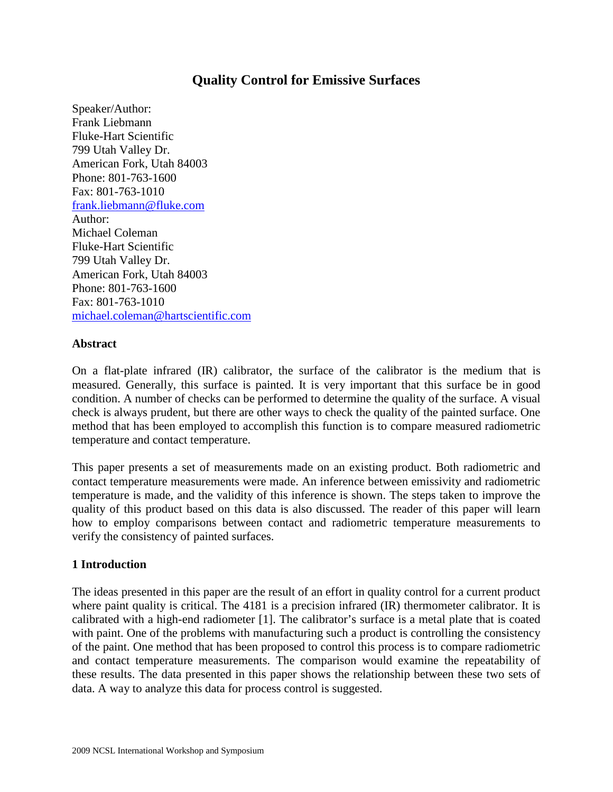# **Quality Control for Emissive Surfaces**

Speaker/Author: Frank Liebmann Fluke-Hart Scientific 799 Utah Valley Dr. American Fork, Utah 84003 Phone: 801-763-1600 Fax: 801-763-1010 [frank.liebmann@fluke.com](mailto:frank.liebmann@fluke.com) Author: Michael Coleman Fluke-Hart Scientific 799 Utah Valley Dr. American Fork, Utah 84003 Phone: 801-763-1600 Fax: 801-763-1010 [michael.coleman@hartscientific.com](mailto:michael.coleman@hartscientific.com)

#### **Abstract**

On a flat-plate infrared (IR) calibrator, the surface of the calibrator is the medium that is measured. Generally, this surface is painted. It is very important that this surface be in good condition. A number of checks can be performed to determine the quality of the surface. A visual check is always prudent, but there are other ways to check the quality of the painted surface. One method that has been employed to accomplish this function is to compare measured radiometric temperature and contact temperature.

This paper presents a set of measurements made on an existing product. Both radiometric and contact temperature measurements were made. An inference between emissivity and radiometric temperature is made, and the validity of this inference is shown. The steps taken to improve the quality of this product based on this data is also discussed. The reader of this paper will learn how to employ comparisons between contact and radiometric temperature measurements to verify the consistency of painted surfaces.

#### **1 Introduction**

The ideas presented in this paper are the result of an effort in quality control for a current product where paint quality is critical. The 4181 is a precision infrared (IR) thermometer calibrator. It is calibrated with a high-end radiometer [1]. The calibrator's surface is a metal plate that is coated with paint. One of the problems with manufacturing such a product is controlling the consistency of the paint. One method that has been proposed to control this process is to compare radiometric and contact temperature measurements. The comparison would examine the repeatability of these results. The data presented in this paper shows the relationship between these two sets of data. A way to analyze this data for process control is suggested.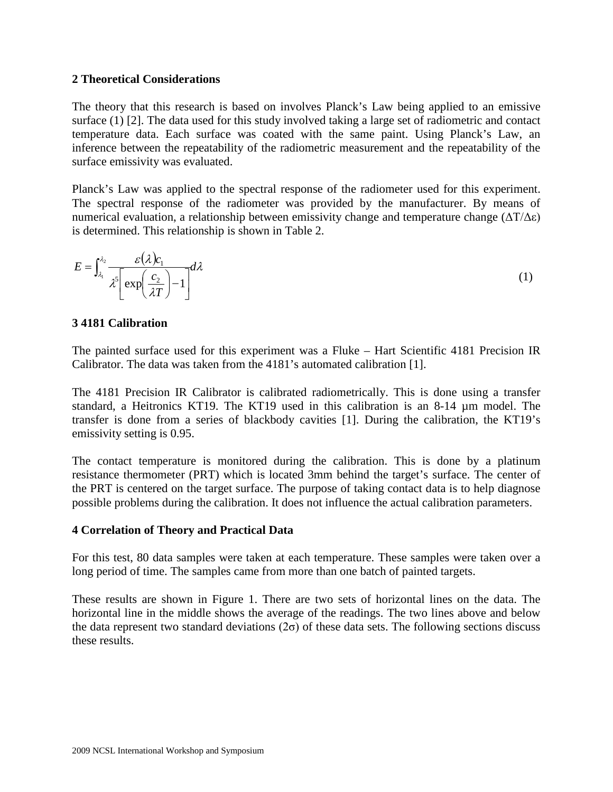#### **2 Theoretical Considerations**

The theory that this research is based on involves Planck's Law being applied to an emissive surface (1) [2]. The data used for this study involved taking a large set of radiometric and contact temperature data. Each surface was coated with the same paint. Using Planck's Law, an inference between the repeatability of the radiometric measurement and the repeatability of the surface emissivity was evaluated.

Planck's Law was applied to the spectral response of the radiometer used for this experiment. The spectral response of the radiometer was provided by the manufacturer. By means of numerical evaluation, a relationship between emissivity change and temperature change  $(\Delta T/\Delta \epsilon)$ is determined. This relationship is shown in Table 2.

$$
E = \int_{\lambda_1}^{\lambda_2} \frac{\varepsilon(\lambda)c_1}{\lambda^5 \left[\exp\left(\frac{c_2}{\lambda T}\right) - 1\right]} d\lambda
$$
 (1)

#### **3 4181 Calibration**

The painted surface used for this experiment was a Fluke – Hart Scientific 4181 Precision IR Calibrator. The data was taken from the 4181's automated calibration [1].

The 4181 Precision IR Calibrator is calibrated radiometrically. This is done using a transfer standard, a Heitronics KT19. The KT19 used in this calibration is an 8-14 µm model. The transfer is done from a series of blackbody cavities [1]. During the calibration, the KT19's emissivity setting is 0.95.

The contact temperature is monitored during the calibration. This is done by a platinum resistance thermometer (PRT) which is located 3mm behind the target's surface. The center of the PRT is centered on the target surface. The purpose of taking contact data is to help diagnose possible problems during the calibration. It does not influence the actual calibration parameters.

#### **4 Correlation of Theory and Practical Data**

For this test, 80 data samples were taken at each temperature. These samples were taken over a long period of time. The samples came from more than one batch of painted targets.

These results are shown in Figure 1. There are two sets of horizontal lines on the data. The horizontal line in the middle shows the average of the readings. The two lines above and below the data represent two standard deviations  $(2\sigma)$  of these data sets. The following sections discuss these results.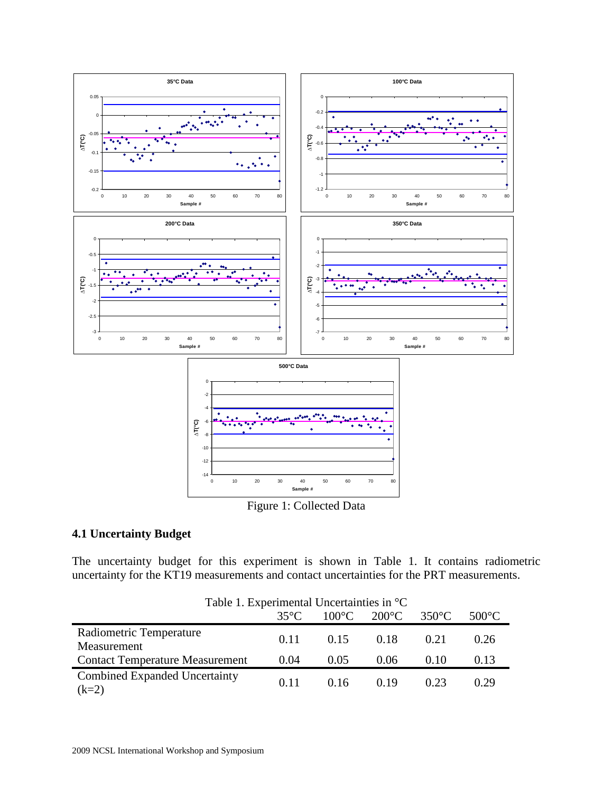

## **4.1 Uncertainty Budget**

The uncertainty budget for this experiment is shown in Table 1. It contains radiometric uncertainty for the KT19 measurements and contact uncertainties for the PRT measurements.

| Table 1. Experimental Uncertainties in $^{\circ}C$ |       |                 |                 |                 |                 |
|----------------------------------------------------|-------|-----------------|-----------------|-----------------|-----------------|
|                                                    | 35°C. | $100^{\circ}$ C | $200^{\circ}$ C | $350^{\circ}$ C | $500^{\circ}$ C |
| Radiometric Temperature<br>Measurement             | 0.11  | 0.15            | 0.18            | 0.21            | 0.26            |
| <b>Contact Temperature Measurement</b>             | 0.04  | 0.05            | 0.06            | (0.10)          | 0.13            |
| Combined Expanded Uncertainty<br>$(k=2)$           | 0.11  | 0.16            | 0.19            | 0.23            | 0.29            |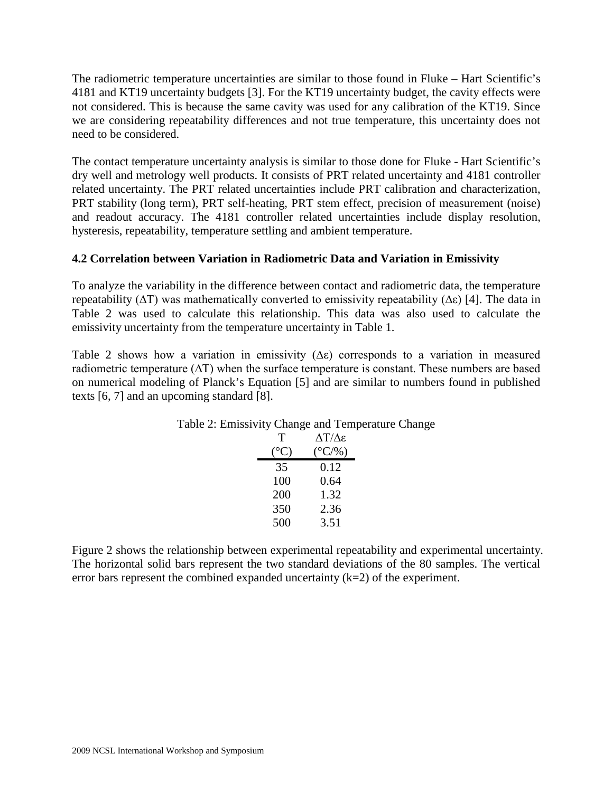The radiometric temperature uncertainties are similar to those found in Fluke – Hart Scientific's 4181 and KT19 uncertainty budgets [3]. For the KT19 uncertainty budget, the cavity effects were not considered. This is because the same cavity was used for any calibration of the KT19. Since we are considering repeatability differences and not true temperature, this uncertainty does not need to be considered.

The contact temperature uncertainty analysis is similar to those done for Fluke - Hart Scientific's dry well and metrology well products. It consists of PRT related uncertainty and 4181 controller related uncertainty. The PRT related uncertainties include PRT calibration and characterization, PRT stability (long term), PRT self-heating, PRT stem effect, precision of measurement (noise) and readout accuracy. The 4181 controller related uncertainties include display resolution, hysteresis, repeatability, temperature settling and ambient temperature.

# **4.2 Correlation between Variation in Radiometric Data and Variation in Emissivity**

To analyze the variability in the difference between contact and radiometric data, the temperature repeatability ( $ΔT$ ) was mathematically converted to emissivity repeatability ( $Δε$ ) [4]. The data in Table 2 was used to calculate this relationship. This data was also used to calculate the emissivity uncertainty from the temperature uncertainty in Table 1.

Table 2 shows how a variation in emissivity  $(∆*ε*)$  corresponds to a variation in measured radiometric temperature (∆T) when the surface temperature is constant. These numbers are based on numerical modeling of Planck's Equation [5] and are similar to numbers found in published texts [6, 7] and an upcoming standard [8].

|              | $\frac{1}{2}$    |
|--------------|------------------|
| Т            | ΔT/Δε            |
| $(^\circ C)$ | $(^{\circ}C/\%)$ |
| 35           | 0.12             |
| 100          | 0.64             |
| 200          | 1.32             |
| 350          | 2.36             |
| 500          | 3.51             |
|              |                  |

| Table 2: Emissivity Change and Temperature Change |  |  |  |
|---------------------------------------------------|--|--|--|
|---------------------------------------------------|--|--|--|

Figure 2 shows the relationship between experimental repeatability and experimental uncertainty. The horizontal solid bars represent the two standard deviations of the 80 samples. The vertical error bars represent the combined expanded uncertainty  $(k=2)$  of the experiment.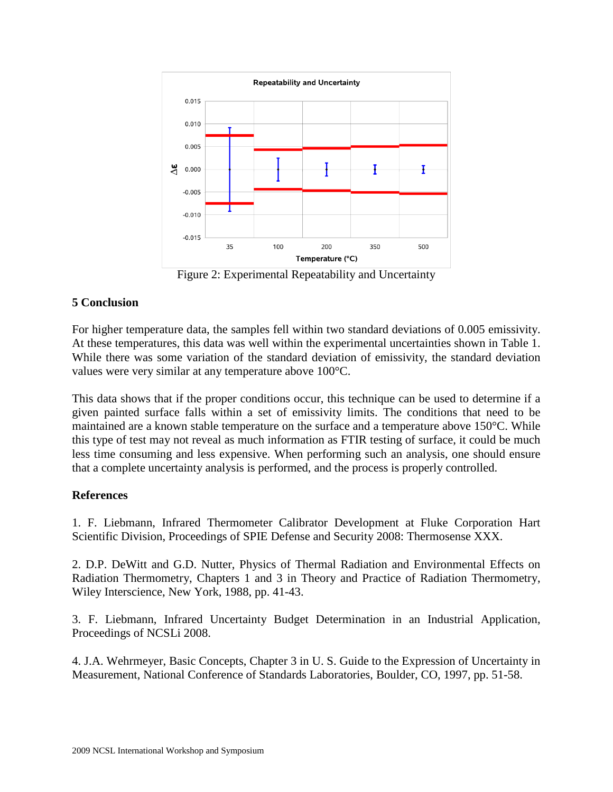

Figure 2: Experimental Repeatability and Uncertainty

### **5 Conclusion**

For higher temperature data, the samples fell within two standard deviations of 0.005 emissivity. At these temperatures, this data was well within the experimental uncertainties shown in Table 1. While there was some variation of the standard deviation of emissivity, the standard deviation values were very similar at any temperature above 100°C.

This data shows that if the proper conditions occur, this technique can be used to determine if a given painted surface falls within a set of emissivity limits. The conditions that need to be maintained are a known stable temperature on the surface and a temperature above 150°C. While this type of test may not reveal as much information as FTIR testing of surface, it could be much less time consuming and less expensive. When performing such an analysis, one should ensure that a complete uncertainty analysis is performed, and the process is properly controlled.

### **References**

1. F. Liebmann, Infrared Thermometer Calibrator Development at Fluke Corporation Hart Scientific Division, Proceedings of SPIE Defense and Security 2008: Thermosense XXX.

2. D.P. DeWitt and G.D. Nutter, Physics of Thermal Radiation and Environmental Effects on Radiation Thermometry, Chapters 1 and 3 in Theory and Practice of Radiation Thermometry, Wiley Interscience, New York, 1988, pp. 41-43.

3. F. Liebmann, Infrared Uncertainty Budget Determination in an Industrial Application, Proceedings of NCSLi 2008.

4. J.A. Wehrmeyer, Basic Concepts, Chapter 3 in U. S. Guide to the Expression of Uncertainty in Measurement, National Conference of Standards Laboratories, Boulder, CO, 1997, pp. 51-58.